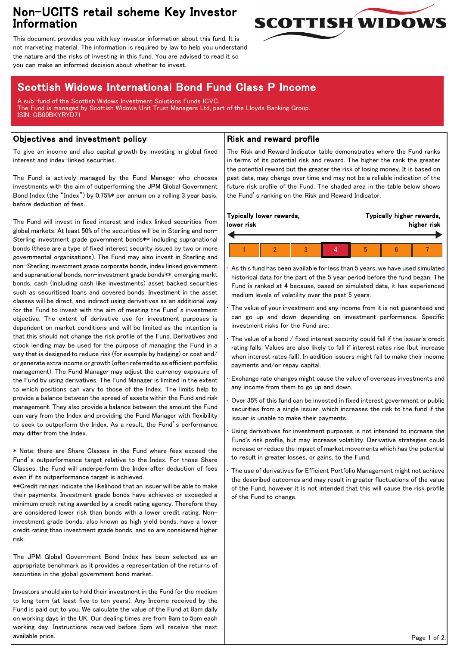# Non-UCITS retail scheme Key Investor Information



This document provides you with key investor information about this fund. It is not marketing material. The information is required by law to help you understand the nature and the risks of investing in this fund. You are advised to read it so you can make an informed decision about whether to invest.

# Scottish Widows International Bond Fund Class P Income

A sub-fund of the Scottish Widows Investment Solutions Funds ICVC. The Fund is managed by Scottish Widows Unit Trust Managers Ltd, part of the Lloyds Banking Group. ISIN: GB00BKYRYD71

## Objectives and investment policy

To give an income and also capital growth by investing in global fixed interest and index-linked securities.

The Fund is actively managed by the Fund Manager who chooses investments with the aim of outperforming the JPM Global Government Bond Index (the "Index") by 0.75%\* per annum on a rolling 3 year basis, before deduction of fees.

The Fund will invest in fixed interest and index linked securities from global markets. At least 50% of the securities will be in Sterling and non-Sterling investment grade government bonds\*\* including supranational bonds (these are a type of fixed interest security issued by two or more governmental organisations). The Fund may also invest in Sterling and non-Sterling investment grade corporate bonds, index linked government and supranational bonds, non-investment grade bonds\*\*, emerging markt bonds, cash (including cash like investments) asset backed securities such as securitised loans and covered bonds. Investment in the asset classes will be direct, and indirect using derivatives as an additional way for the Fund to invest with the aim of meeting the Fund's investment objective. The extent of derivative use for investment purposes is dependent on market conditions and will be limited as the intention is that this should not change the risk profile of the Fund. Derivatives and stock lending may be used for the purpose of managing the Fund in a way that is designed to reduce risk (for example by hedging) or cost and/ or generate extra income or growth (often referred to as efficient portfolio management). The Fund Manager may adjust the currency exposure of the Fund by using derivatives. The Fund Manager is limited in the extent to which positions can vary to those of the Index. The limits help to provide a balance between the spread of assets within the Fund and risk management. They also provide a balance between the amount the Fund can vary from the Index and providing the Fund Manager with flexibility to seek to outperform the Index. As a result, the Fund's performance may differ from the Index.

\* Note: there are Share Classes in the Fund where fees exceed the Fund's outperformance target relative to the Index. For those Share Classes, the Fund will underperform the Index after deduction of fees even if its outperformance target is achieved.

\*\*Credit ratings indicate the likelihood that an issuer will be able to make their payments. Investment grade bonds have achieved or exceeded a minimum credit rating awarded by a credit rating agency. Therefore they are considered lower risk than bonds with a lower credit rating. Noninvestment grade bonds, also known as high yield bonds, have a lower credit rating than investment grade bonds, and so are considered higher risk.

The JPM Global Government Bond Index has been selected as an appropriate benchmark as it provides a representation of the returns of securities in the global government bond market.

Investors should aim to hold their investment in the Fund for the medium to long term (at least five to ten years). Any Income received by the Fund is paid out to you. We calculate the value of the Fund at 8am daily on working days in the UK. Our dealing times are from 9am to 5pm each working day. Instructions received before 5pm will receive the next available price.

### Risk and reward profile

The Risk and Reward Indicator table demonstrates where the Fund ranks in terms of its potential risk and reward. The higher the rank the greater the potential reward but the greater the risk of losing money. It is based on past data, may change over time and may not be a reliable indication of the future risk profile of the Fund. The shaded area in the table below shows the Fund's ranking on the Risk and Reward Indicator.

| Typically lower rewards, |  |  |  | Typically higher rewards, |  |  |
|--------------------------|--|--|--|---------------------------|--|--|
| lower risk               |  |  |  | higher risk               |  |  |
|                          |  |  |  |                           |  |  |

• As this fund has been available for less than 5 years, we have used simulated historical data for the part of the 5 year period before the fund began. The Fund is ranked at 4 because, based on simulated data, it has experienced medium levels of volatility over the past 5 years.

The value of your investment and any income from it is not guaranteed and can go up and down depending on investment performance. Specific investment risks for the Fund are:

The value of a bond / fixed interest security could fall if the issuer's credit rating falls. Values are also likely to fall if interest rates rise (but increase when interest rates fall). In addition issuers might fail to make their income payments and/or repay capital.

• Exchange rate changes might cause the value of overseas investments and any income from them to go up and down.

• Over 35% of this fund can be invested in fixed interest government or public securities from a single issuer, which increases the risk to the fund if the issuer is unable to make their payments.

Using derivatives for investment purposes is not intended to increase the Fund's risk profile, but may increase volatility. Derivative strategies could increase or reduce the impact of market movements which has the potential to result in greater losses, or gains, to the Fund.

• The use of derivatives for Efficient Portfolio Management might not achieve the described outcomes and may result in greater fluctuations of the value of the Fund, however it is not intended that this will cause the risk profile of the Fund to change.